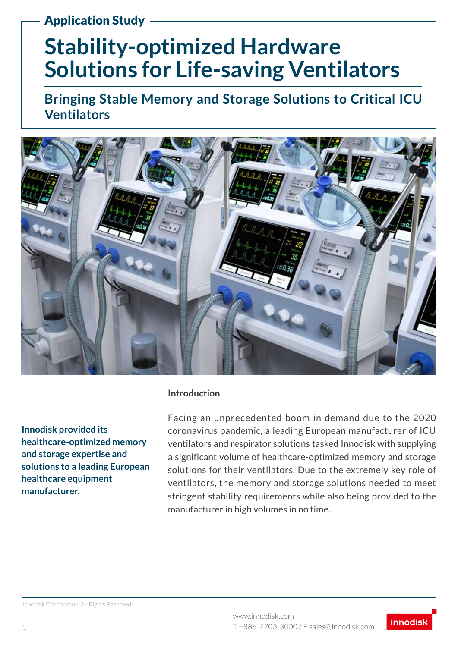### Application Study

# **Stability-optimized Hardware Solutions for Life-saving Ventilators**

**Bringing Stable Memory and Storage Solutions to Critical ICU Ventilators**



**Innodisk provided its healthcare-optimized memory and storage expertise and solutions to a leading European healthcare equipment manufacturer.** 

#### **Introduction**

Facing an unprecedented boom in demand due to the 2020 coronavirus pandemic, a leading European manufacturer of ICU ventilators and respirator solutions tasked Innodisk with supplying a significant volume of healthcare-optimized memory and storage solutions for their ventilators. Due to the extremely key role of ventilators, the memory and storage solutions needed to meet stringent stability requirements while also being provided to the manufacturer in high volumes in no time.

Innodisk Corporation. All Rights Reserved